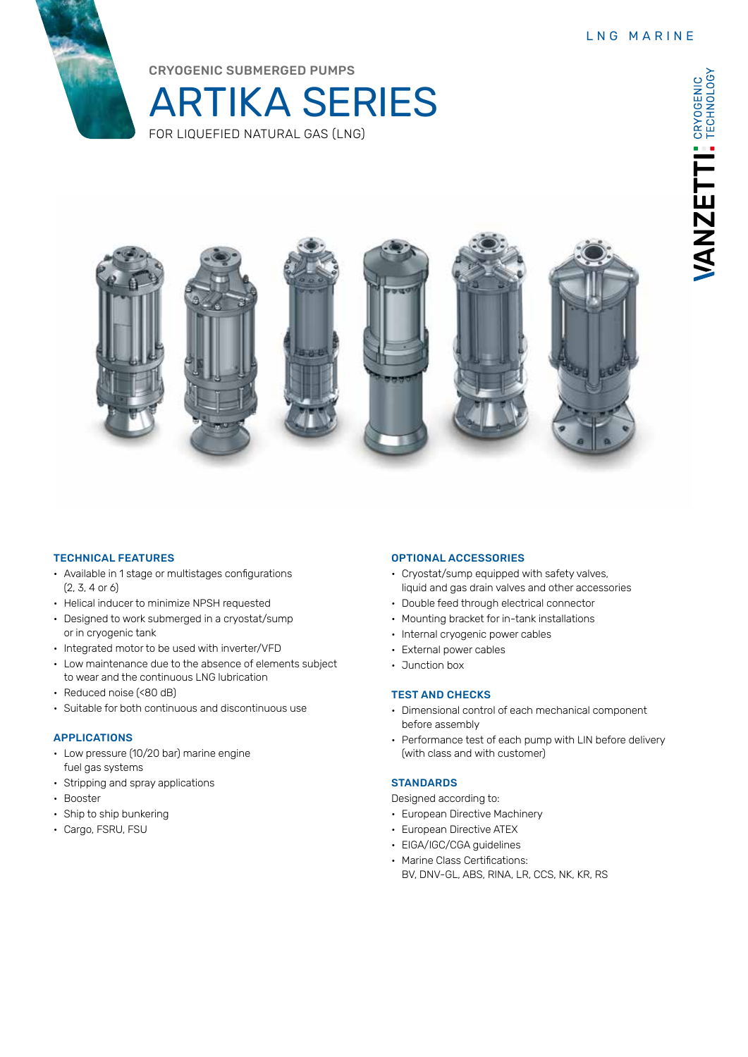

CRYOGENIC SUBMERGED PUMPS





# TECHNICAL FEATURES

- Available in 1 stage or multistages configurations (2, 3, 4 or 6)
- Helical inducer to minimize NPSH requested
- Designed to work submerged in a cryostat/sump or in cryogenic tank
- Integrated motor to be used with inverter/VFD
- Low maintenance due to the absence of elements subject to wear and the continuous LNG lubrication
- Reduced noise (<80 dB)
- Suitable for both continuous and discontinuous use

### APPLICATIONS

- Low pressure (10/20 bar) marine engine fuel gas systems
- Stripping and spray applications
- Booster
- Ship to ship bunkering
- Cargo, FSRU, FSU

#### OPTIONAL ACCESSORIES

- Cryostat/sump equipped with safety valves, liquid and gas drain valves and other accessories
- Double feed through electrical connector
- Mounting bracket for in-tank installations
- Internal cryogenic power cables
- External power cables
- Junction box

### TEST AND CHECKS

- Dimensional control of each mechanical component before assembly
- Performance test of each pump with LIN before delivery (with class and with customer)

#### **STANDARDS**

Designed according to:

- European Directive Machinery
- European Directive ATEX
- EIGA/IGC/CGA guidelines
- Marine Class Certifications: BV, DNV-GL, ABS, RINA, LR, CCS, NK, KR, RS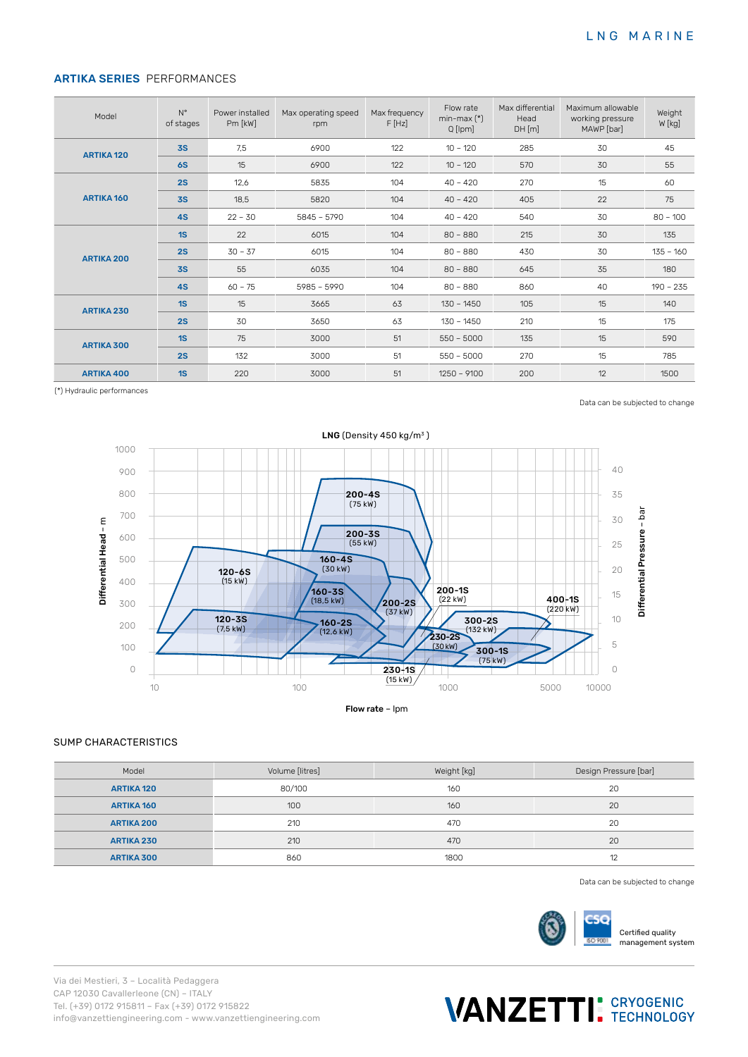# ARTIKA SERIES PERFORMANCES

| Model             | $N^{\circ}$<br>of stages | Power installed<br>Pm [kW] | Max operating speed<br>rpm | Max frequency<br>F[Hz] | Flow rate<br>$min-max (*)$<br>Q [lpm] | Max differential<br>Head<br>DH[m] | Maximum allowable<br>working pressure<br>MAWP [bar] | Weight<br>$W$ [kg] |
|-------------------|--------------------------|----------------------------|----------------------------|------------------------|---------------------------------------|-----------------------------------|-----------------------------------------------------|--------------------|
| <b>ARTIKA 120</b> | 3S                       | 7,5                        | 6900                       | 122                    | $10 - 120$                            | 285                               | 30                                                  | 45                 |
|                   | <b>6S</b>                | 15                         | 6900                       | 122                    | $10 - 120$                            | 570                               | 30                                                  | 55                 |
| <b>ARTIKA 160</b> | 2S                       | 12,6                       | 5835                       | 104                    | $40 - 420$                            | 270                               | 15                                                  | 60                 |
|                   | <b>3S</b>                | 18,5                       | 5820                       | 104                    | $40 - 420$                            | 405                               | 22                                                  | 75                 |
|                   | 4S                       | $22 - 30$                  | $5845 - 5790$              | 104                    | $40 - 420$                            | 540                               | 30                                                  | $80 - 100$         |
| <b>ARTIKA 200</b> | 1S                       | 22                         | 6015                       | 104                    | $80 - 880$                            | 215                               | 30                                                  | 135                |
|                   | 2S                       | $30 - 37$                  | 6015                       | 104                    | $80 - 880$                            | 430                               | 30                                                  | $135 - 160$        |
|                   | 3S                       | 55                         | 6035                       | 104                    | $80 - 880$                            | 645                               | 35                                                  | 180                |
|                   | 4S                       | $60 - 75$                  | $5985 - 5990$              | 104                    | $80 - 880$                            | 860                               | 40                                                  | $190 - 235$        |
| <b>ARTIKA 230</b> | 1S                       | 15                         | 3665                       | 63                     | $130 - 1450$                          | 105                               | 15                                                  | 140                |
|                   | 2S                       | 30                         | 3650                       | 63                     | $130 - 1450$                          | 210                               | 15                                                  | 175                |
| <b>ARTIKA 300</b> | 1S                       | 75                         | 3000                       | 51                     | $550 - 5000$                          | 135                               | 15                                                  | 590                |
|                   | 2S                       | 132                        | 3000                       | 51                     | $550 - 5000$                          | 270                               | 15                                                  | 785                |
| <b>ARTIKA 400</b> | 1S                       | 220                        | 3000                       | 51                     | $1250 - 9100$                         | 200                               | 12                                                  | 1500               |

(\*) Hydraulic performances

Data can be subjected to change



#### SUMP CHARACTERISTICS

| Model             | Volume [litres] | Weight [kg] | Design Pressure [bar] |
|-------------------|-----------------|-------------|-----------------------|
| <b>ARTIKA 120</b> | 80/100          | 160         | 20                    |
| <b>ARTIKA 160</b> | 100             | 160         | 20                    |
| <b>ARTIKA 200</b> | 210             | 470         | 20                    |
| <b>ARTIKA 230</b> | 210             | 470         | 20                    |
| <b>ARTIKA 300</b> | 860             | 1800        | 12                    |

Data can be subjected to change



Certified quality management system